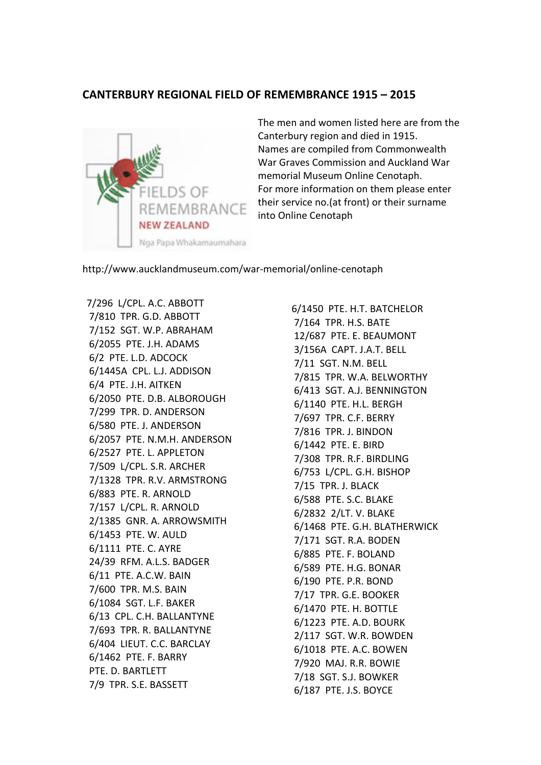## **CANTERBURY REGIONAL FIELD OF REMEMBRANCE 1915 – 2015**



The men and women listed here are from the Canterbury region and died in 1915. Names are compiled from Commonwealth War Graves Commission and Auckland War memorial Museum Online Cenotaph. For more information on them please enter their service no. (at front) or their surname into Online Cenotaph

http://www.aucklandmuseum.com/war-memorial/online-cenotaph

7/296 L/CPL. A.C. ABBOTT 7/810 TPR. G.D. ABBOTT 7/152 SGT. W.P. ABRAHAM 6/2055 PTE. J.H. ADAMS 6/2 PTE. L.D. ADCOCK 6/1445A CPL. L.J. ADDISON 6/4 PTE. J.H. AITKEN 6/2050 PTE. D.B. ALBOROUGH 7/299 TPR. D. ANDERSON 6/580 PTE. J. ANDERSON 6/2057 PTE. N.M.H. ANDERSON 6/2527 PTE. L. APPLETON 7/509 L/CPL. S.R. ARCHER 7/1328 TPR. R.V. ARMSTRONG 6/883 PTE. R. ARNOLD 7/157 L/CPL. R. ARNOLD 2/1385 GNR. A. ARROWSMITH 6/1453 PTE. W. AULD 6/1111 PTE. C. AYRE 24/39 RFM. A.L.S. BADGER 6/11 PTE. A.C.W. BAIN 7/600 TPR. M.S. BAIN 6/1084 SGT. L.F. BAKER 6/13 CPL. C.H. BALLANTYNE 7/693 TPR. R. BALLANTYNE 6/404 LIEUT. C.C. BARCLAY 6/1462 PTE. F. BARRY PTE. D. BARTLETT 7/9 TPR. S.E. BASSETT

6/1450 PTE. H.T. BATCHELOR 7/164 TPR. H.S. BATE 12/687 PTE. E. BEAUMONT 3/156A CAPT. J.A.T. BELL 7/11 SGT. N.M. BELL 7/815 TPR. W.A. BELWORTHY 6/413 SGT. A.J. BENNINGTON 6/1140 PTE. H.L. BERGH 7/697 TPR. C.F. BERRY 7/816 TPR. J. BINDON 6/1442 PTE. E. BIRD 7/308 TPR. R.F. BIRDLING 6/753 L/CPL. G.H. BISHOP 7/15 TPR. J. BLACK 6/588 PTE. S.C. BLAKE 6/2832 2/LT. V. BLAKE 6/1468 PTE. G.H. BLATHERWICK 7/171 SGT. R.A. BODEN 6/885 PTE. F. BOLAND 6/589 PTE. H.G. BONAR 6/190 PTE. P.R. BOND 7/17 TPR. G.E. BOOKER 6/1470 PTE. H. BOTTLE 6/1223 PTE. A.D. BOURK 2/117 SGT. W.R. BOWDEN 6/1018 PTE. A.C. BOWEN 7/920 MAJ. R.R. BOWIE 7/18 SGT. S.J. BOWKER 6/187 PTE. J.S. BOYCE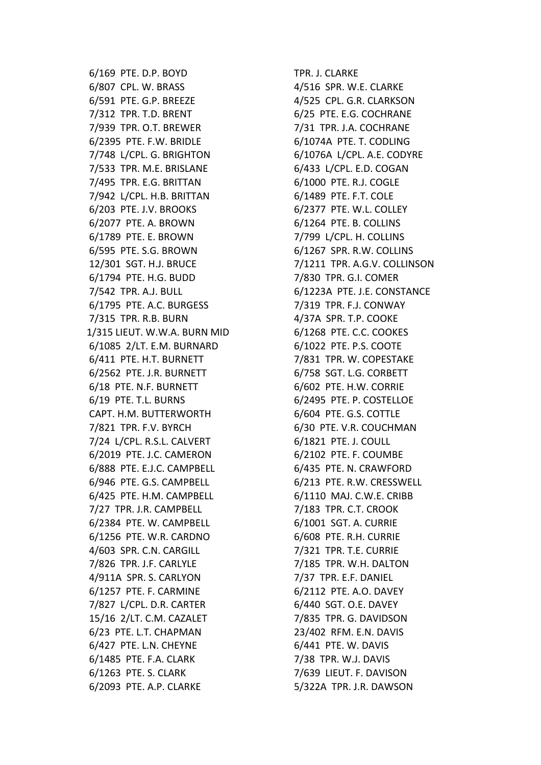6/169 PTE. D.P. BOYD 6/807 CPL. W. BRASS 6/591 PTE. G.P. BREEZE 7/312 TPR. T.D. BRENT 7/939 TPR. O.T. BREWER 6/2395 PTE. F.W. BRIDLE 7/748 L/CPL. G. BRIGHTON 7/533 TPR. M.E. BRISLANE 7/495 TPR. E.G. BRITTAN 7/942 L/CPL. H.B. BRITTAN 6/203 PTE. J.V. BROOKS 6/2077 PTE. A. BROWN 6/1789 PTE. E. BROWN 6/595 PTE. S.G. BROWN 12/301 SGT. H.J. BRUCE 6/1794 PTE. H.G. BUDD 7/542 TPR. A.J. BULL 6/1795 PTE. A.C. BURGESS 7/315 TPR. R.B. BURN 1/315 LIEUT. W.W.A. BURN MID 6/1085 2/LT. E.M. BURNARD 6/411 PTE. H.T. BURNETT 6/2562 PTE. J.R. BURNETT 6/18 PTE. N.F. BURNETT 6/19 PTE. T.L. BURNS CAPT. H.M. BUTTERWORTH 7/821 TPR. F.V. BYRCH 7/24 L/CPL. R.S.L. CALVERT 6/2019 PTE. J.C. CAMERON 6/888 PTE. E.J.C. CAMPBELL 6/946 PTE. G.S. CAMPBELL 6/425 PTE. H.M. CAMPBELL 7/27 TPR. J.R. CAMPBELL 6/2384 PTE. W. CAMPBELL 6/1256 PTE. W.R. CARDNO 4/603 SPR. C.N. CARGILL 7/826 TPR. J.F. CARLYLE 4/911A SPR. S. CARLYON 6/1257 PTE. F. CARMINE 7/827 L/CPL. D.R. CARTER 15/16 2/LT. C.M. CAZALET 6/23 PTE. L.T. CHAPMAN 6/427 PTE. L.N. CHEYNE 6/1485 PTE. F.A. CLARK 6/1263 PTE. S. CLARK 6/2093 PTE. A.P. CLARKE

TPR. J. CLARKE 4/516 SPR. W.E. CLARKE 4/525 CPL. G.R. CLARKSON 6/25 PTE. E.G. COCHRANE 7/31 TPR. J.A. COCHRANE 6/1074A PTE. T. CODLING 6/1076A L/CPL. A.E. CODYRE 6/433 L/CPL. E.D. COGAN 6/1000 PTE. R.J. COGLE 6/1489 PTE. F.T. COLE 6/2377 PTE. W.L. COLLEY 6/1264 PTE. B. COLLINS 7/799 L/CPL. H. COLLINS 6/1267 SPR. R.W. COLLINS 7/1211 TPR. A.G.V. COLLINSON 7/830 TPR. G.I. COMER 6/1223A PTE. J.E. CONSTANCE 7/319 TPR. F.J. CONWAY 4/37A SPR. T.P. COOKE 6/1268 PTE. C.C. COOKES 6/1022 PTE. P.S. COOTE 7/831 TPR. W. COPESTAKE 6/758 SGT. L.G. CORBETT 6/602 PTE. H.W. CORRIE 6/2495 PTE. P. COSTELLOE 6/604 PTE. G.S. COTTLE 6/30 PTE. V.R. COUCHMAN 6/1821 PTE. J. COULL 6/2102 PTE. F. COUMBE 6/435 PTE. N. CRAWFORD 6/213 PTE. R.W. CRESSWELL 6/1110 MAJ. C.W.E. CRIBB 7/183 TPR. C.T. CROOK 6/1001 SGT. A. CURRIE 6/608 PTE. R.H. CURRIE 7/321 TPR. T.E. CURRIE 7/185 TPR. W.H. DALTON 7/37 TPR. E.F. DANIEL 6/2112 PTE. A.O. DAVEY 6/440 SGT. O.E. DAVEY 7/835 TPR. G. DAVIDSON 23/402 RFM. E.N. DAVIS 6/441 PTE. W. DAVIS 7/38 TPR. W.J. DAVIS 7/639 LIEUT. F. DAVISON 5/322A TPR. J.R. DAWSON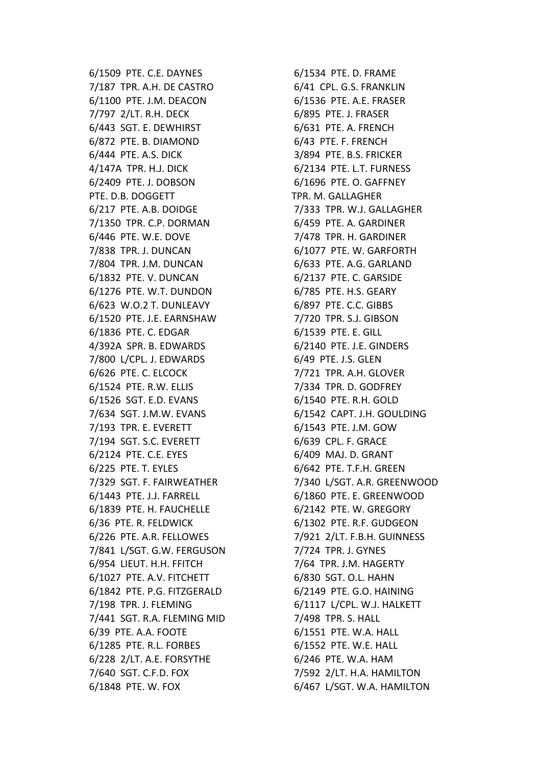6/1509 PTE. C.E. DAYNES 7/187 TPR. A.H. DE CASTRO 6/1100 PTE. J.M. DEACON 7/797 2/LT. R.H. DECK 6/443 SGT. E. DEWHIRST 6/872 PTE. B. DIAMOND 6/444 PTE, A.S. DICK 4/147A TPR. H.J. DICK 6/2409 PTE. J. DOBSON PTE. D.B. DOGGETT 6/217 PTE. A.B. DOIDGE 7/1350 TPR. C.P. DORMAN 6/446 PTE. W.E. DOVE 7/838 TPR. J. DUNCAN 7/804 TPR. J.M. DUNCAN 6/1832 PTE. V. DUNCAN 6/1276 PTE. W.T. DUNDON 6/623 W.O.2 T. DUNLEAVY 6/1520 PTE. J.E. EARNSHAW 6/1836 PTE. C. EDGAR 4/392A SPR. B. EDWARDS 7/800 L/CPL. J. EDWARDS 6/626 PTE. C. ELCOCK 6/1524 PTE. R.W. ELLIS 6/1526 SGT. E.D. EVANS 7/634 SGT. J.M.W. EVANS 7/193 TPR. E. EVERETT 7/194 SGT. S.C. EVERETT 6/2124 PTE. C.E. EYES 6/225 PTE. T. EYLES 7/329 SGT. F. FAIRWEATHER 6/1443 PTE. J.J. FARRELL 6/1839 PTE. H. FAUCHELLE 6/36 PTE. R. FELDWICK 6/226 PTE. A.R. FELLOWES 7/841 L/SGT. G.W. FERGUSON 6/954 LIEUT. H.H. FFITCH 6/1027 PTE. A.V. FITCHETT 6/1842 PTE. P.G. FITZGERALD 7/198 TPR. J. FLEMING 7/441 SGT. R.A. FLEMING MID 6/39 PTE. A.A. FOOTE 6/1285 PTE. R.L. FORBES 6/228 2/LT. A.E. FORSYTHE 7/640 SGT. C.F.D. FOX 6/1848 PTE. W. FOX

6/1534 PTE. D. FRAME 6/41 CPL. G.S. FRANKLIN 6/1536 PTE. A.E. FRASER 6/895 PTE. J. FRASER 6/631 PTE. A. FRENCH 6/43 PTE. F. FRENCH 3/894 PTE. B.S. FRICKER 6/2134 PTE. L.T. FURNESS 6/1696 PTE. O. GAFFNEY TPR. M. GALLAGHER 7/333 TPR. W.J. GALLAGHER 6/459 PTE. A. GARDINER 7/478 TPR. H. GARDINER 6/1077 PTE. W. GARFORTH 6/633 PTE. A.G. GARLAND 6/2137 PTE. C. GARSIDE 6/785 PTE. H.S. GEARY 6/897 PTE. C.C. GIBBS 7/720 TPR. S.J. GIBSON 6/1539 PTE. E. GILL 6/2140 PTE. J.E. GINDERS 6/49 PTE. J.S. GLEN 7/721 TPR. A.H. GLOVER 7/334 TPR. D. GODFREY 6/1540 PTE. R.H. GOLD 6/1542 CAPT. J.H. GOULDING 6/1543 PTE. J.M. GOW 6/639 CPL. F. GRACE 6/409 MAJ. D. GRANT 6/642 PTE. T.F.H. GREEN 7/340 L/SGT. A.R. GREENWOOD 6/1860 PTE. E. GREENWOOD 6/2142 PTE. W. GREGORY 6/1302 PTE. R.F. GUDGEON 7/921 2/LT. F.B.H. GUINNESS 7/724 TPR. J. GYNES 7/64 TPR. J.M. HAGERTY 6/830 SGT. O.L. HAHN 6/2149 PTE. G.O. HAINING 6/1117 L/CPL. W.J. HALKETT 7/498 TPR. S. HALL 6/1551 PTE. W.A. HALL 6/1552 PTE. W.E. HALL 6/246 PTE. W.A. HAM 7/592 2/LT. H.A. HAMILTON 6/467 L/SGT. W.A. HAMILTON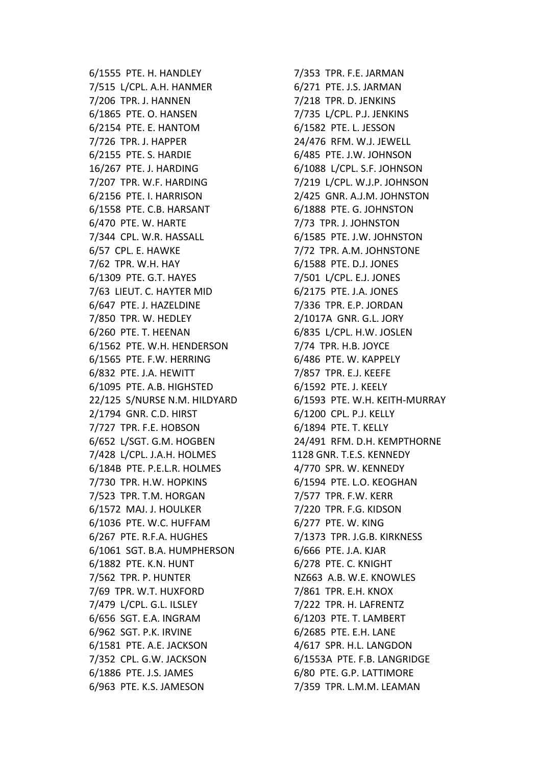6/1555 PTE. H. HANDLEY 7/515 L/CPL. A.H. HANMER 7/206 TPR. J. HANNEN 6/1865 PTE. O. HANSEN 6/2154 PTE. E. HANTOM 7/726 TPR. J. HAPPER 6/2155 PTE. S. HARDIE 16/267 PTE. J. HARDING 7/207 TPR. W.F. HARDING 6/2156 PTE. I. HARRISON 6/1558 PTE. C.B. HARSANT 6/470 PTE. W. HARTE 7/344 CPL. W.R. HASSALL 6/57 CPL. E. HAWKE 7/62 TPR. W.H. HAY 6/1309 PTE. G.T. HAYES 7/63 LIEUT. C. HAYTER MID 6/647 PTE. J. HAZELDINE 7/850 TPR. W. HEDLEY 6/260 PTE. T. HEENAN 6/1562 PTE. W.H. HENDERSON 6/1565 PTE. F.W. HERRING 6/832 PTE. J.A. HEWITT 6/1095 PTE. A.B. HIGHSTED 22/125 S/NURSE N.M. HILDYARD 2/1794 GNR. C.D. HIRST 7/727 TPR. F.E. HOBSON 6/652 L/SGT. G.M. HOGBEN 7/428 L/CPL. J.A.H. HOLMES 6/184B PTE. P.E.L.R. HOLMES 7/730 TPR. H.W. HOPKINS 7/523 TPR. T.M. HORGAN 6/1572 MAJ. J. HOULKER 6/1036 PTE. W.C. HUFFAM 6/267 PTE. R.F.A. HUGHES 6/1061 SGT. B.A. HUMPHERSON 6/1882 PTE. K.N. HUNT 7/562 TPR. P. HUNTER 7/69 TPR. W.T. HUXFORD 7/479 L/CPL. G.L. ILSLEY 6/656 SGT. E.A. INGRAM 6/962 SGT. P.K. IRVINE 6/1581 PTE. A.E. JACKSON 7/352 CPL. G.W. JACKSON 6/1886 PTE. J.S. JAMES 6/963 PTE. K.S. JAMESON

7/353 TPR. F.E. JARMAN 6/271 PTE. J.S. JARMAN 7/218 TPR. D. JENKINS 7/735 L/CPL. P.J. JENKINS 6/1582 PTE. L. JESSON 24/476 RFM. W.J. JEWELL 6/485 PTE. J.W. JOHNSON 6/1088 L/CPL. S.F. JOHNSON 7/219 L/CPL. W.J.P. JOHNSON 2/425 GNR. A.J.M. JOHNSTON 6/1888 PTE. G. JOHNSTON 7/73 TPR. J. JOHNSTON 6/1585 PTE. J.W. JOHNSTON 7/72 TPR. A.M. JOHNSTONE 6/1588 PTE. D.J. JONES 7/501 L/CPL. E.J. JONES 6/2175 PTE. J.A. JONES 7/336 TPR. E.P. JORDAN 2/1017A GNR. G.L. JORY 6/835 L/CPL. H.W. JOSLEN 7/74 TPR. H.B. JOYCE 6/486 PTE. W. KAPPELY 7/857 TPR. E.J. KEEFE 6/1592 PTE. J. KEELY 6/1593 PTE. W.H. KEITH-MURRAY 6/1200 CPL. P.J. KELLY 6/1894 PTE. T. KELLY 24/491 RFM. D.H. KEMPTHORNE 1128 GNR. T.E.S. KENNEDY 4/770 SPR. W. KENNEDY 6/1594 PTE. L.O. KEOGHAN 7/577 TPR. F.W. KERR 7/220 TPR. F.G. KIDSON 6/277 PTE. W. KING 7/1373 TPR. J.G.B. KIRKNESS 6/666 PTE. J.A. KJAR 6/278 PTE. C. KNIGHT NZ663 A.B. W.E. KNOWLES 7/861 TPR. E.H. KNOX 7/222 TPR. H. LAFRENTZ 6/1203 PTE. T. LAMBERT 6/2685 PTE. E.H. LANE 4/617 SPR. H.L. LANGDON 6/1553A PTE. F.B. LANGRIDGE 6/80 PTE. G.P. LATTIMORE 7/359 TPR. L.M.M. LEAMAN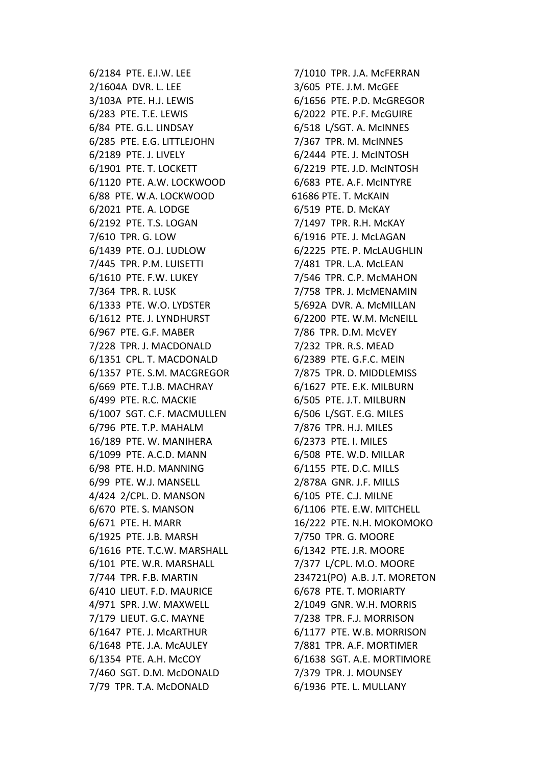6/2184 PTE. E.I.W. LEE 2/1604A DVR. L. LEE 3/103A PTE. H.J. LEWIS 6/283 PTE. T.E. LEWIS 6/84 PTE. G.L. LINDSAY 6/285 PTE. E.G. LITTLEJOHN 6/2189 PTE. J. LIVELY 6/1901 PTE. T. LOCKETT 6/1120 PTE. A.W. LOCKWOOD 6/88 PTE. W.A. LOCKWOOD 6/2021 PTE. A. LODGE 6/2192 PTE. T.S. LOGAN 7/610 TPR. G. LOW 6/1439 PTE. O.J. LUDLOW 7/445 TPR. P.M. LUISETTI 6/1610 PTE. F.W. LUKEY 7/364 TPR. R. LUSK 6/1333 PTE. W.O. LYDSTER 6/1612 PTE. J. LYNDHURST 6/967 PTE. G.F. MABER 7/228 TPR. J. MACDONALD 6/1351 CPL. T. MACDONALD 6/1357 PTE. S.M. MACGREGOR 6/669 PTE. T.J.B. MACHRAY 6/499 PTE. R.C. MACKIE 6/1007 SGT. C.F. MACMULLEN 6/796 PTE. T.P. MAHALM 16/189 PTE. W. MANIHERA 6/1099 PTE. A.C.D. MANN 6/98 PTE. H.D. MANNING 6/99 PTE. W.J. MANSELL 4/424 2/CPL. D. MANSON 6/670 PTE. S. MANSON 6/671 PTE. H. MARR 6/1925 PTE. J.B. MARSH 6/1616 PTE. T.C.W. MARSHALL 6/101 PTE. W.R. MARSHALL 7/744 TPR. F.B. MARTIN 6/410 LIEUT. F.D. MAURICE 4/971 SPR. J.W. MAXWELL 7/179 LIEUT. G.C. MAYNE 6/1647 PTE. J. McARTHUR 6/1648 PTE. J.A. McAULEY 6/1354 PTE. A.H. McCOY 7/460 SGT. D.M. McDONALD 7/79 TPR. T.A. McDONALD

7/1010 TPR. J.A. MCFERRAN 3/605 PTE. J.M. McGEE 6/1656 PTE. P.D. McGREGOR 6/2022 PTE. P.F. McGUIRE 6/518 L/SGT. A. McINNES 7/367 TPR. M. McINNES 6/2444 PTE. J. McINTOSH 6/2219 PTE. J.D. McINTOSH 6/683 PTE. A.F. McINTYRE 61686 PTE. T. McKAIN 6/519 PTE. D. McKAY 7/1497 TPR. R.H. McKAY 6/1916 PTE. J. McLAGAN 6/2225 PTE. P. McLAUGHLIN 7/481 TPR. L.A. McLEAN 7/546 TPR. C.P. McMAHON 7/758 TPR. J. McMENAMIN 5/692A DVR. A. McMILLAN 6/2200 PTE. W.M. McNEILL 7/86 TPR. D.M. McVEY 7/232 TPR. R.S. MEAD 6/2389 PTE. G.F.C. MEIN 7/875 TPR. D. MIDDLEMISS 6/1627 PTE. E.K. MILBURN 6/505 PTE. J.T. MILBURN 6/506 L/SGT. E.G. MILES 7/876 TPR. H.J. MILES 6/2373 PTE. I. MILES 6/508 PTE. W.D. MILLAR 6/1155 PTE. D.C. MILLS 2/878A GNR. J.F. MILLS 6/105 PTE. C.J. MILNE 6/1106 PTE. E.W. MITCHELL 16/222 PTE. N.H. MOKOMOKO 7/750 TPR. G. MOORE 6/1342 PTE. J.R. MOORE 7/377 L/CPL. M.O. MOORE 234721(PO) A.B. J.T. MORETON 6/678 PTE. T. MORIARTY 2/1049 GNR. W.H. MORRIS 7/238 TPR. F.J. MORRISON 6/1177 PTE. W.B. MORRISON 7/881 TPR. A.F. MORTIMER 6/1638 SGT. A.E. MORTIMORE 7/379 TPR. J. MOUNSEY 6/1936 PTE. L. MULLANY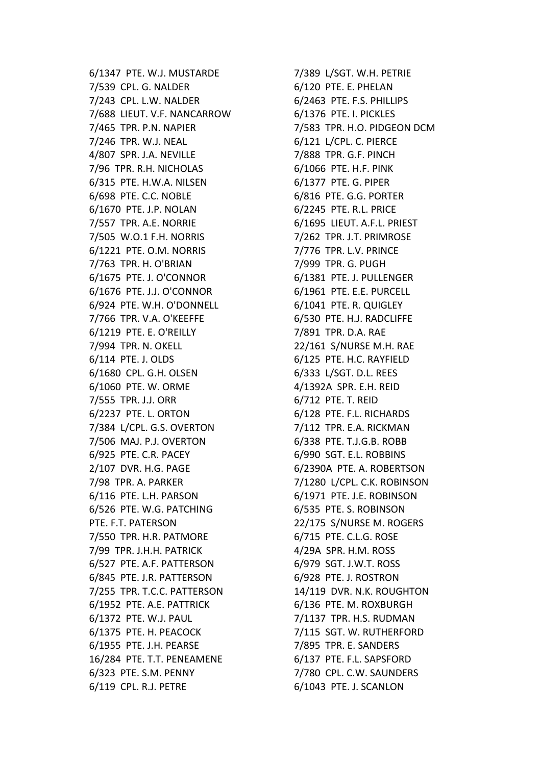6/1347 PTE. W.J. MUSTARDE 7/539 CPL. G. NALDER 7/243 CPL. L.W. NALDER 7/688 LIEUT. V.F. NANCARROW 7/465 TPR. P.N. NAPIER 7/246 TPR. W.J. NEAL 4/807 SPR. J.A. NEVILLE 7/96 TPR. R.H. NICHOLAS 6/315 PTE. H.W.A. NILSEN 6/698 PTE. C.C. NOBLE 6/1670 PTE. J.P. NOLAN 7/557 TPR. A.E. NORRIE 7/505 W.O.1 F.H. NORRIS 6/1221 PTE. O.M. NORRIS 7/763 TPR. H. O'BRIAN 6/1675 PTE. J. O'CONNOR 6/1676 PTE. J.J. O'CONNOR 6/924 PTE. W.H. O'DONNELL 7/766 TPR. V.A. O'KEEFFE 6/1219 PTE. E. O'REILLY 7/994 TPR. N. OKELL 6/114 PTE. J. OLDS 6/1680 CPL. G.H. OLSEN 6/1060 PTE. W. ORME 7/555 TPR. J.J. ORR 6/2237 PTE. L. ORTON 7/384 L/CPL. G.S. OVERTON 7/506 MAJ. P.J. OVERTON 6/925 PTE. C.R. PACEY 2/107 DVR. H.G. PAGE 7/98 TPR. A. PARKER 6/116 PTE. L.H. PARSON 6/526 PTE. W.G. PATCHING PTE. F.T. PATERSON 7/550 TPR. H.R. PATMORE 7/99 TPR. J.H.H. PATRICK 6/527 PTE. A.F. PATTERSON 6/845 PTE. J.R. PATTERSON 7/255 TPR. T.C.C. PATTERSON 6/1952 PTE. A.E. PATTRICK 6/1372 PTE. W.J. PAUL 6/1375 PTE. H. PEACOCK 6/1955 PTE. J.H. PEARSE 16/284 PTE. T.T. PENEAMENE 6/323 PTE. S.M. PENNY 6/119 CPL. R.J. PETRE

7/389 L/SGT. W.H. PETRIE 6/120 PTE. E. PHELAN 6/2463 PTE. F.S. PHILLIPS 6/1376 PTE. I. PICKLES 7/583 TPR. H.O. PIDGEON DCM 6/121 L/CPL. C. PIERCE 7/888 TPR. G.F. PINCH 6/1066 PTE. H.F. PINK 6/1377 PTE. G. PIPER 6/816 PTE. G.G. PORTER 6/2245 PTE. R.L. PRICE 6/1695 LIEUT. A.F.L. PRIEST 7/262 TPR. J.T. PRIMROSE 7/776 TPR. L.V. PRINCE 7/999 TPR. G. PUGH 6/1381 PTE. J. PULLENGER 6/1961 PTE. E.E. PURCELL 6/1041 PTE. R. QUIGLEY 6/530 PTE. H.J. RADCLIFFE 7/891 TPR. D.A. RAE 22/161 S/NURSE M.H. RAE 6/125 PTE. H.C. RAYFIELD 6/333 L/SGT. D.L. REES 4/1392A SPR. E.H. REID 6/712 PTE. T. REID 6/128 PTE. F.L. RICHARDS 7/112 TPR. E.A. RICKMAN 6/338 PTE. T.J.G.B. ROBB 6/990 SGT. E.L. ROBBINS 6/2390A PTE. A. ROBERTSON 7/1280 L/CPL. C.K. ROBINSON 6/1971 PTE. J.E. ROBINSON 6/535 PTE. S. ROBINSON 22/175 S/NURSE M. ROGERS 6/715 PTE. C.L.G. ROSE 4/29A SPR. H.M. ROSS 6/979 SGT. J.W.T. ROSS 6/928 PTE. J. ROSTRON 14/119 DVR. N.K. ROUGHTON 6/136 PTE. M. ROXBURGH 7/1137 TPR. H.S. RUDMAN 7/115 SGT. W. RUTHERFORD 7/895 TPR. E. SANDERS 6/137 PTE. F.L. SAPSFORD 7/780 CPL. C.W. SAUNDERS 6/1043 PTE. J. SCANLON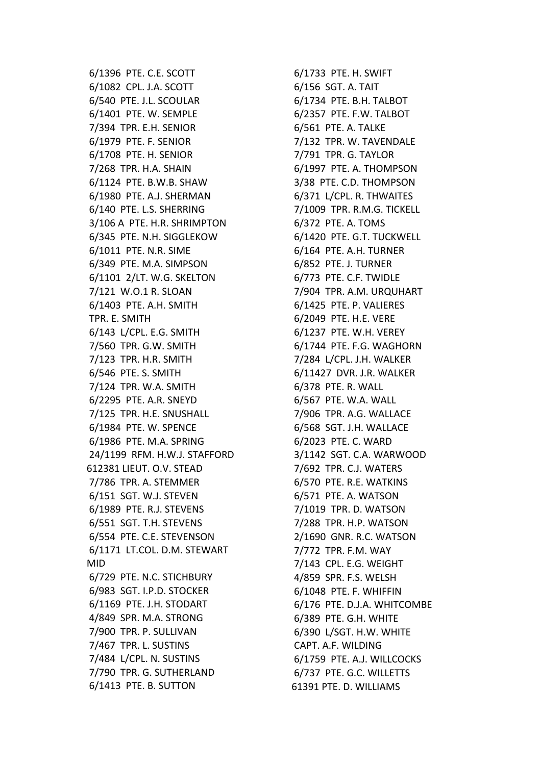6/1396 PTE. C.E. SCOTT 6/1082 CPL. J.A. SCOTT 6/540 PTE. J.L. SCOULAR 6/1401 PTE. W. SEMPLE 7/394 TPR. E.H. SENIOR 6/1979 PTE. F. SENIOR 6/1708 PTE. H. SENIOR 7/268 TPR. H.A. SHAIN 6/1124 PTE. B.W.B. SHAW 6/1980 PTE. A.J. SHERMAN 6/140 PTE. L.S. SHERRING 3/106 A PTE. H.R. SHRIMPTON 6/345 PTE. N.H. SIGGLEKOW 6/1011 PTE. N.R. SIME 6/349 PTE. M.A. SIMPSON 6/1101 2/LT. W.G. SKELTON 7/121 W.O.1 R. SLOAN 6/1403 PTE. A.H. SMITH TPR. E. SMITH 6/143 L/CPL. E.G. SMITH 7/560 TPR. G.W. SMITH 7/123 TPR. H.R. SMITH 6/546 PTE. S. SMITH 7/124 TPR. W.A. SMITH 6/2295 PTE. A.R. SNEYD 7/125 TPR. H.E. SNUSHALL 6/1984 PTE. W. SPENCE 6/1986 PTE. M.A. SPRING 24/1199 RFM. H.W.J. STAFFORD 612381 LIEUT. O.V. STEAD 7/786 TPR. A. STEMMER 6/151 SGT. W.J. STEVEN 6/1989 PTE. R.J. STEVENS 6/551 SGT. T.H. STEVENS 6/554 PTE. C.E. STEVENSON 6/1171 LT.COL. D.M. STEWART MID 6/729 PTE. N.C. STICHBURY 6/983 SGT. I.P.D. STOCKER 6/1169 PTE. J.H. STODART 4/849 SPR. M.A. STRONG 7/900 TPR. P. SULLIVAN 7/467 TPR. L. SUSTINS 7/484 L/CPL. N. SUSTINS 7/790 TPR. G. SUTHERLAND 6/1413 PTE. B. SUTTON

6/1733 PTE. H. SWIFT 6/156 SGT. A. TAIT 6/1734 PTE. B.H. TALBOT 6/2357 PTE. F.W. TALBOT 6/561 PTE. A. TALKE 7/132 TPR. W. TAVENDALE 7/791 TPR. G. TAYLOR 6/1997 PTE. A. THOMPSON 3/38 PTE. C.D. THOMPSON 6/371 L/CPL. R. THWAITES 7/1009 TPR. R.M.G. TICKELL 6/372 PTE. A. TOMS 6/1420 PTE. G.T. TUCKWELL 6/164 PTE. A.H. TURNER 6/852 PTE. J. TURNER 6/773 PTE. C.F. TWIDLE 7/904 TPR. A.M. URQUHART 6/1425 PTE. P. VALIERES 6/2049 PTE. H.E. VERE 6/1237 PTE. W.H. VEREY 6/1744 PTE. F.G. WAGHORN 7/284 L/CPL. J.H. WALKER 6/11427 DVR. J.R. WALKER 6/378 PTE. R. WALL 6/567 PTE. W.A. WALL 7/906 TPR. A.G. WALLACE 6/568 SGT. J.H. WALLACE 6/2023 PTE. C. WARD 3/1142 SGT. C.A. WARWOOD 7/692 TPR. C.J. WATERS 6/570 PTE. R.E. WATKINS 6/571 PTE. A. WATSON 7/1019 TPR. D. WATSON 7/288 TPR. H.P. WATSON 2/1690 GNR. R.C. WATSON 7/772 TPR. F.M. WAY 7/143 CPL. E.G. WEIGHT 4/859 SPR. F.S. WELSH 6/1048 PTE. F. WHIFFIN 6/176 PTE. D.J.A. WHITCOMBE 6/389 PTE. G.H. WHITE 6/390 L/SGT. H.W. WHITE CAPT. A.F. WILDING 6/1759 PTE. A.J. WILLCOCKS 6/737 PTE. G.C. WILLETTS 61391 PTE. D. WILLIAMS